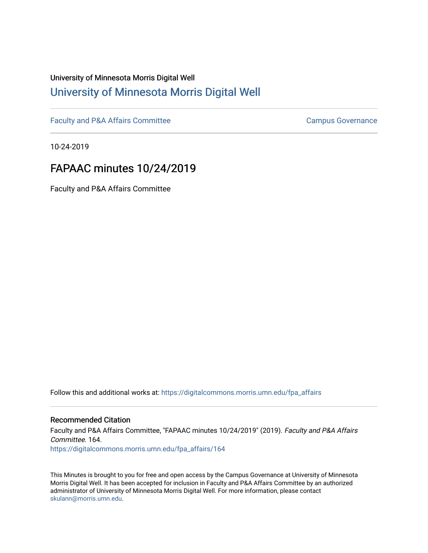# University of Minnesota Morris Digital Well [University of Minnesota Morris Digital Well](https://digitalcommons.morris.umn.edu/)

[Faculty and P&A Affairs Committee](https://digitalcommons.morris.umn.edu/fpa_affairs) [Campus Governance](https://digitalcommons.morris.umn.edu/campgov) Campus Governance

10-24-2019

# FAPAAC minutes 10/24/2019

Faculty and P&A Affairs Committee

Follow this and additional works at: [https://digitalcommons.morris.umn.edu/fpa\\_affairs](https://digitalcommons.morris.umn.edu/fpa_affairs?utm_source=digitalcommons.morris.umn.edu%2Ffpa_affairs%2F164&utm_medium=PDF&utm_campaign=PDFCoverPages)

## Recommended Citation

Faculty and P&A Affairs Committee, "FAPAAC minutes 10/24/2019" (2019). Faculty and P&A Affairs Committee. 164.

[https://digitalcommons.morris.umn.edu/fpa\\_affairs/164](https://digitalcommons.morris.umn.edu/fpa_affairs/164?utm_source=digitalcommons.morris.umn.edu%2Ffpa_affairs%2F164&utm_medium=PDF&utm_campaign=PDFCoverPages)

This Minutes is brought to you for free and open access by the Campus Governance at University of Minnesota Morris Digital Well. It has been accepted for inclusion in Faculty and P&A Affairs Committee by an authorized administrator of University of Minnesota Morris Digital Well. For more information, please contact [skulann@morris.umn.edu.](mailto:skulann@morris.umn.edu)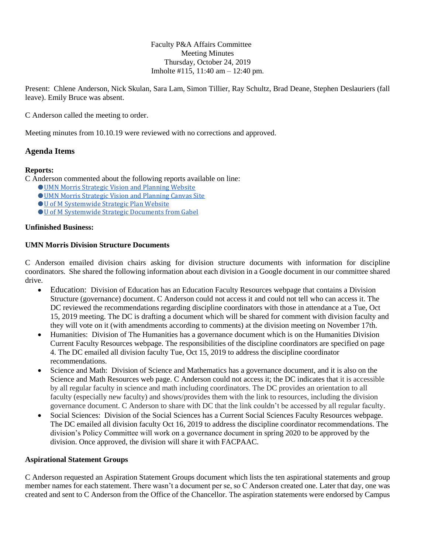Faculty P&A Affairs Committee Meeting Minutes Thursday, October 24, 2019 Imholte #115, 11:40 am – 12:40 pm.

Present: Chlene Anderson, Nick Skulan, Sara Lam, Simon Tillier, Ray Schultz, Brad Deane, Stephen Deslauriers (fall leave). Emily Bruce was absent.

C Anderson called the meeting to order.

Meeting minutes from 10.10.19 were reviewed with no corrections and approved.

# **Agenda Items**

## **Reports:**

C Anderson commented about the following reports available on line:

- [UMN Morris Strategic Vision and Planning Website](https://morris.umn.edu/about/mission-vision/strategic-visioning-and-planning)
- [UMN Morris Strategic Vision and Planning Canvas Site](https://canvas.umn.edu/courses/26265)
- **[U of M Systemwide Strategic Plan Website](https://president.umn.edu/systemwide-strategic-plan)**
- **U** of M Systemwide Strategic Documents from Gabel

## **Unfinished Business:**

#### **[UMN Morris Division Structure Documents](https://docs.google.com/document/d/18as5ImoYLfNjXWXIEbosvposmnwSI849fzjhSijrY3g/edit)**

C Anderson emailed division chairs asking for division structure documents with information for discipline coordinators. She shared the following information about each division in a Google document in our committee shared drive.

- Education: Division of Education has an [Education Faculty Resources](https://academics.morris.umn.edu/education-division/education-faculty-resources) webpage that contains [a Division](https://drive.google.com/open?id=0B8z1IbhuhzdpbzJ5RXVYMTJSMzA)  [Structure \(governance\) document.](https://drive.google.com/open?id=0B8z1IbhuhzdpbzJ5RXVYMTJSMzA) C Anderson could not access it and could not tell who can access it. The DC reviewed the recommendations regarding discipline coordinators with those in attendance at a Tue, Oct 15, 2019 meeting. The DC is drafting a document which will be shared for comment with division faculty and they will vote on it (with amendments according to comments) at the division meeting on November 17th.
- Humanities: Division of The Humanities has a [governance document](https://drive.google.com/file/d/1saOlwbEggjoIB05g8UGz6h47fX9I__Nt/view) which is on the [Humanities Division](https://academics.morris.umn.edu/humanities-division/current-faculty-resources)  [Current Faculty Resources](https://academics.morris.umn.edu/humanities-division/current-faculty-resources) webpage. The responsibilities of the discipline coordinators are specified on page 4. The DC emailed all division faculty Tue, Oct 15, 2019 to address the discipline coordinator recommendations.
- Science and Math: Division of Science and Mathematics has a [governance document,](https://drive.google.com/open?id=0B1dPU8cij5_QckJoYmhqRDFMRnRhcm1qN1pGd3FFbFAyZUhZ) and it is also on the [Science and Math Resources web page.](https://academics.morris.umn.edu/science-math-division/science-and-math-resources) C Anderson could not access it; the DC indicates that it is accessible by all regular faculty in science and math including coordinators. The DC provides an orientation to all faculty (especially new faculty) and shows/provides them with the link to resources, including the division governance document. C Anderson to share with DC that the link couldn't be accessed by all regular faculty.
- Social Sciences: Division of the Social Sciences has [a Current Social Sciences Faculty Resources](https://academics.morris.umn.edu/social-science-division/current-social-science-faculty-resources) webpage. The DC emailed all division faculty Oct 16, 2019 to address the discipline coordinator recommendations. The division's Policy Committee will work on a governance document in spring 2020 to be approved by the division. Once approved, the division will share it with FACPAAC.

#### **Aspirational Statement Groups**

C Anderson requested an Aspiration Statement Groups document which lists the ten aspirational statements and group member names for each statement. There wasn't a document per se, so C Anderson created one. Later that day, one was created and sent to C Anderson from the Office of the Chancellor. The aspiration statements were endorsed by Campus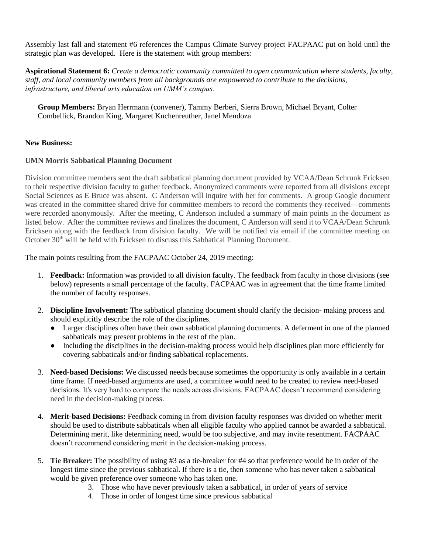Assembly last fall and statement #6 references the Campus Climate Survey project FACPAAC put on hold until the strategic plan was developed. Here is the statement with group members:

**Aspirational Statement 6:** *Create a democratic community committed to open communication where students, faculty, staff, and local community members from all backgrounds are empowered to contribute to the decisions, infrastructure, and liberal arts education on UMM's campus.*

**Group Members:** Bryan Herrmann (convener), Tammy Berberi, Sierra Brown, Michael Bryant, Colter Combellick, Brandon King, Margaret Kuchenreuther, Janel Mendoza

# **New Business:**

## **UMN Morris Sabbatical Planning Document**

Division committee members sent the draft sabbatical planning document provided by VCAA/Dean Schrunk Ericksen to their respective division faculty to gather feedback. Anonymized comments were reported from all divisions except Social Sciences as E Bruce was absent. C Anderson will inquire with her for comments. A group Google document was created in the committee shared drive for committee members to record the comments they received—comments were recorded anonymously. After the meeting, C Anderson included a summary of main points in the document as listed below. After the committee reviews and finalizes the document, C Anderson will send it to VCAA/Dean Schrunk Ericksen along with the feedback from division faculty. We will be notified via email if the committee meeting on October  $30<sup>th</sup>$  will be held with Ericksen to discuss this Sabbatical Planning Document.

The main points resulting from the FACPAAC October 24, 2019 meeting:

- 1. **Feedback:** Information was provided to all division faculty. The feedback from faculty in those divisions (see below) represents a small percentage of the faculty. FACPAAC was in agreement that the time frame limited the number of faculty responses.
- 2. **Discipline Involvement:** The sabbatical planning document should clarify the decision- making process and should explicitly describe the role of the disciplines.
	- Larger disciplines often have their own sabbatical planning documents. A deferment in one of the planned sabbaticals may present problems in the rest of the plan.
	- Including the disciplines in the decision-making process would help disciplines plan more efficiently for covering sabbaticals and/or finding sabbatical replacements.
- 3. **Need-based Decisions:** We discussed needs because sometimes the opportunity is only available in a certain time frame. If need-based arguments are used, a committee would need to be created to review need-based decisions. It's very hard to compare the needs across divisions. FACPAAC doesn't recommend considering need in the decision-making process.
- 4. **Merit-based Decisions:** Feedback coming in from division faculty responses was divided on whether merit should be used to distribute sabbaticals when all eligible faculty who applied cannot be awarded a sabbatical. Determining merit, like determining need, would be too subjective, and may invite resentment. FACPAAC doesn't recommend considering merit in the decision-making process.
- 5. **Tie Breaker:** The possibility of using #3 as a tie-breaker for #4 so that preference would be in order of the longest time since the previous sabbatical. If there is a tie, then someone who has never taken a sabbatical would be given preference over someone who has taken one.
	- 3. Those who have never previously taken a sabbatical, in order of years of service
	- 4. Those in order of longest time since previous sabbatical